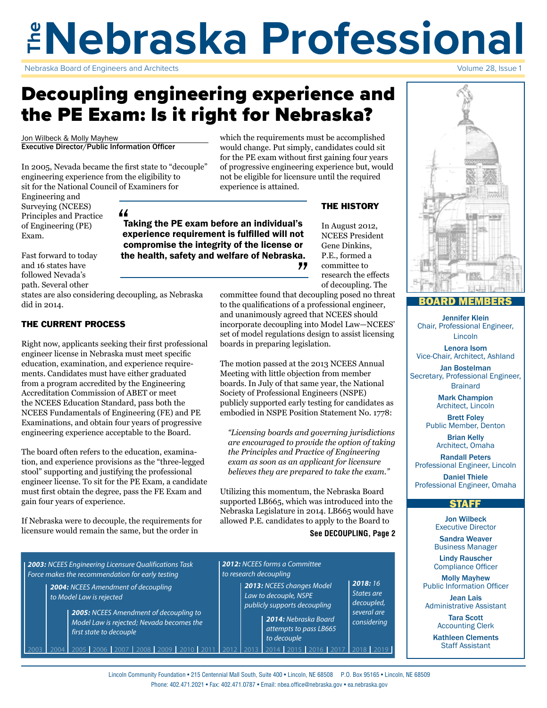## **The Nebraska Professional** Volume 28, Issue 1

Nebraska Board of Engineers and Architects

## Decoupling engineering experience and the PE Exam: Is it right for Nebraska?

compromise the integrity of the license or the health, safety and welfare of Nebraska.

Jon Wilbeck & Molly Mayhew Executive Director/Public Information Officer

In 2005, Nevada became the first state to "decouple" engineering experience from the eligibility to sit for the National Council of Examiners for

Engineering and Surveying (NCEES) Principles and Practice of Engineering (PE) Exam.

Fast forward to today and 16 states have followed Nevada's path. Several other

states are also considering decoupling, as Nebraska did in 2014.

#### THE CURRENT PROCESS

Right now, applicants seeking their first professional engineer license in Nebraska must meet specific education, examination, and experience requirements. Candidates must have either graduated from a program accredited by the Engineering Accreditation Commission of ABET or meet the NCEES Education Standard, pass both the NCEES Fundamentals of Engineering (FE) and PE Examinations, and obtain four years of progressive engineering experience acceptable to the Board.

The board often refers to the education, examination, and experience provisions as the "three-legged stool" supporting and justifying the professional engineer license. To sit for the PE Exam, a candidate must first obtain the degree, pass the FE Exam and gain four years of experience.

If Nebraska were to decouple, the requirements for licensure would remain the same, but the order in

which the requirements must be accomplished would change. Put simply, candidates could sit for the PE exam without first gaining four years of progressive engineering experience but, would not be eligible for licensure until the required experience is attained.

#### THE HISTORY

In August 2012, NCEES President Gene Dinkins, P.E., formed a committee to research the effects of decoupling. The

committee found that decoupling posed no threat to the qualifications of a professional engineer, and unanimously agreed that NCEES should incorporate decoupling into Model Law—NCEES' set of model regulations design to assist licensing boards in preparing legislation.

"

The motion passed at the 2013 NCEES Annual Meeting with little objection from member boards. In July of that same year, the National Society of Professional Engineers (NSPE) publicly supported early testing for candidates as embodied in NSPE Position Statement No. 1778:

*"Licensing boards and governing jurisdictions are encouraged to provide the option of taking the Principles and Practice of Engineering exam as soon as an applicant for licensure believes they are prepared to take the exam."*

Utilizing this momentum, the Nebraska Board supported LB665, which was introduced into the Nebraska Legislature in 2014. LB665 would have allowed P.E. candidates to apply to the Board to

**See DECOUPLING, Page 2**

*2018: 16 States are decoupled, several are considering*

*2003: NCEES Engineering Licensure Qualifications Task Force makes the recommendation for early testing* 

*2004: NCEES Amendment of decoupling to Model Law is rejected*

> *2005: NCEES Amendment of decoupling to Model Law is rejected; Nevada becomes the first state to decouple*

2003 2004 2005 2006 2007 2008 2009 2010 2011 2012 2013 2014 2015 2016 2017 2018 2019



#### BOARD MEMBERS

Jennifer Klein Chair, Professional Engineer, Lincoln

Lenora Isom Vice-Chair, Architect, Ashland

Jan Bostelman Secretary, Professional Engineer, **Brainard** 

> Mark Champion Architect, Lincoln

Brett Foley Public Member, Denton

> Brian Kelly Architect, Omaha

Randall Peters Professional Engineer, Lincoln

Daniel Thiele Professional Engineer, Omaha

#### **STAFF**

Jon Wilbeck Executive Director

Sandra Weaver Business Manager

Lindy Rauscher Compliance Officer

Molly Mayhew Public Information Officer

Jean Lais Administrative Assistant

> Tara Scott Accounting Clerk

Kathleen Clements Staff Assistant

*2012: NCEES forms a Committee to research decoupling*

> *2013: NCEES changes Model Law to decouple, NSPE publicly supports decoupling*

> > *to decouple*

*2014: Nebraska Board attempts to pass LB665* 

71 Taking the PE exam before an individual's experience requirement is fulfilled will not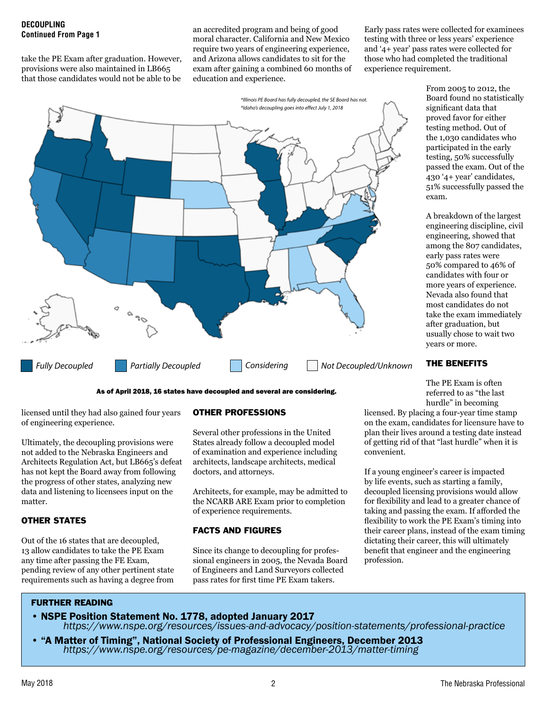## **DECOUPLING**

take the PE Exam after graduation. However, provisions were also maintained in LB665 that those candidates would not be able to be

**CONTRIGREGIES 2008** an accredited program and being of good<br>**Continued From Page 1** and **Continued From Page 1** moral character. California and New Mexico require two years of engineering experience, and Arizona allows candidates to sit for the exam after gaining a combined 60 months of education and experience.



As of April 2018, 16 states have decoupled and several are considering.

licensed until they had also gained four years of engineering experience.

Ultimately, the decoupling provisions were not added to the Nebraska Engineers and Architects Regulation Act, but LB665's defeat has not kept the Board away from following the progress of other states, analyzing new data and listening to licensees input on the matter.

#### OTHER STATES

Out of the 16 states that are decoupled, 13 allow candidates to take the PE Exam any time after passing the FE Exam, pending review of any other pertinent state requirements such as having a degree from

#### OTHER PROFESSIONS

Several other professions in the United States already follow a decoupled model of examination and experience including architects, landscape architects, medical doctors, and attorneys.

Architects, for example, may be admitted to the NCARB ARE Exam prior to completion of experience requirements.

#### FACTS AND FIGURES

Since its change to decoupling for professional engineers in 2005, the Nevada Board of Engineers and Land Surveyors collected pass rates for first time PE Exam takers.

Early pass rates were collected for examinees testing with three or less years' experience and '4+ year' pass rates were collected for those who had completed the traditional experience requirement.

> From 2005 to 2012, the Board found no statistically significant data that proved favor for either testing method. Out of the 1,030 candidates who participated in the early testing, 50% successfully passed the exam. Out of the 430 '4+ year' candidates, 51% successfully passed the exam.

> A breakdown of the largest engineering discipline, civil engineering, showed that among the 807 candidates, early pass rates were 50% compared to 46% of candidates with four or more years of experience. Nevada also found that most candidates do not take the exam immediately after graduation, but usually chose to wait two years or more.

#### THE BENEFITS

The PE Exam is often referred to as "the last hurdle" in becoming

licensed. By placing a four-year time stamp on the exam, candidates for licensure have to plan their lives around a testing date instead of getting rid of that "last hurdle" when it is convenient.

If a young engineer's career is impacted by life events, such as starting a family, decoupled licensing provisions would allow for flexibility and lead to a greater chance of taking and passing the exam. If afforded the flexibility to work the PE Exam's timing into their career plans, instead of the exam timing dictating their career, this will ultimately benefit that engineer and the engineering profession.

#### FURTHER READING

- NSPE Position Statement No. 1778, adopted January 2017 *https://www.nspe.org/resources/issues-and-advocacy/position-statements/professional-practice*
- "A Matter of Timing", National Society of Professional Engineers, December 2013 *https://www.nspe.org/resources/pe-magazine/december-2013/matter-timing*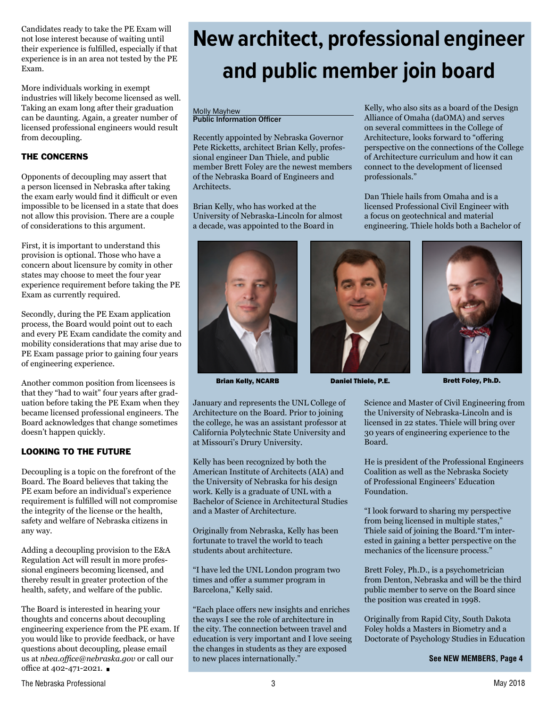Candidates ready to take the PE Exam will not lose interest because of waiting until their experience is fulfilled, especially if that experience is in an area not tested by the PE Exam.

More individuals working in exempt industries will likely become licensed as well. Taking an exam long after their graduation can be daunting. Again, a greater number of licensed professional engineers would result from decoupling.

#### THE CONCERNS

Opponents of decoupling may assert that a person licensed in Nebraska after taking the exam early would find it difficult or even impossible to be licensed in a state that does not allow this provision. There are a couple of considerations to this argument.

First, it is important to understand this provision is optional. Those who have a concern about licensure by comity in other states may choose to meet the four year experience requirement before taking the PE Exam as currently required.

Secondly, during the PE Exam application process, the Board would point out to each and every PE Exam candidate the comity and mobility considerations that may arise due to PE Exam passage prior to gaining four years of engineering experience.

Another common position from licensees is that they "had to wait" four years after graduation before taking the PE Exam when they became licensed professional engineers. The Board acknowledges that change sometimes doesn't happen quickly.

#### LOOKING TO THE FUTURE

Decoupling is a topic on the forefront of the Board. The Board believes that taking the PE exam before an individual's experience requirement is fulfilled will not compromise the integrity of the license or the health, safety and welfare of Nebraska citizens in any way.

Adding a decoupling provision to the E&A Regulation Act will result in more professional engineers becoming licensed, and thereby result in greater protection of the health, safety, and welfare of the public.

The Board is interested in hearing your thoughts and concerns about decoupling engineering experience from the PE exam. If you would like to provide feedback, or have questions about decoupling, please email us at *nbea.office@nebraska.gov* or call our office at 402-471-2021.

## **New architect, professional engineer and public member join board**

#### Molly Mayhew Public Information Officer

Recently appointed by Nebraska Governor Pete Ricketts, architect Brian Kelly, professional engineer Dan Thiele, and public member Brett Foley are the newest members of the Nebraska Board of Engineers and Architects.

Brian Kelly, who has worked at the University of Nebraska-Lincoln for almost a decade, was appointed to the Board in



Brian Kelly, NCARB **Daniel Thiele, P.E.** Brett Foley, Ph.D.

Kelly, who also sits as a board of the Design Alliance of Omaha (daOMA) and serves on several committees in the College of Architecture, looks forward to "offering perspective on the connections of the College of Architecture curriculum and how it can connect to the development of licensed professionals."

Dan Thiele hails from Omaha and is a licensed Professional Civil Engineer with a focus on geotechnical and material engineering. Thiele holds both a Bachelor of



January and represents the UNL College of Architecture on the Board. Prior to joining the college, he was an assistant professor at California Polytechnic State University and at Missouri's Drury University.

Kelly has been recognized by both the American Institute of Architects (AIA) and the University of Nebraska for his design work. Kelly is a graduate of UNL with a Bachelor of Science in Architectural Studies and a Master of Architecture.

Originally from Nebraska, Kelly has been fortunate to travel the world to teach students about architecture.

"I have led the UNL London program two times and offer a summer program in Barcelona," Kelly said.

"Each place offers new insights and enriches the ways I see the role of architecture in the city. The connection between travel and education is very important and I love seeing the changes in students as they are exposed to new places internationally."

Science and Master of Civil Engineering from the University of Nebraska-Lincoln and is licensed in 22 states. Thiele will bring over 30 years of engineering experience to the Board.

He is president of the Professional Engineers Coalition as well as the Nebraska Society of Professional Engineers' Education Foundation.

"I look forward to sharing my perspective from being licensed in multiple states," Thiele said of joining the Board."I'm interested in gaining a better perspective on the mechanics of the licensure process."

Brett Foley, Ph.D., is a psychometrician from Denton, Nebraska and will be the third public member to serve on the Board since the position was created in 1998.

Originally from Rapid City, South Dakota Foley holds a Masters in Biometry and a Doctorate of Psychology Studies in Education

**See NEW MEMBERS, Page 4**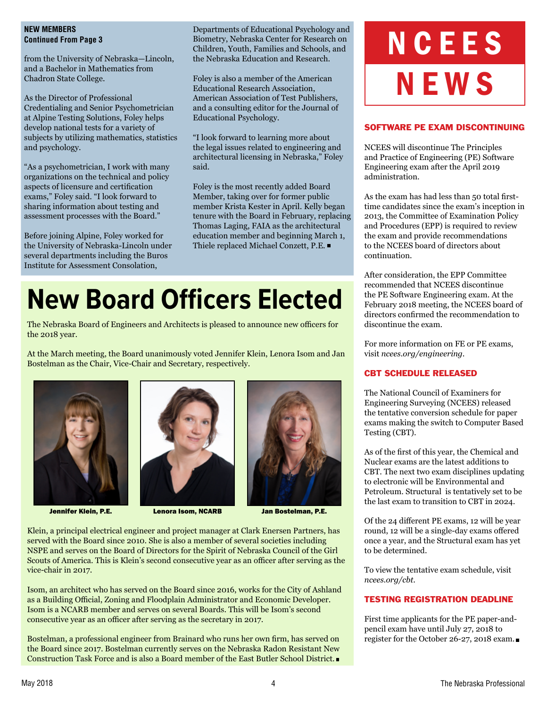#### **NEW MEMBERS Continued From Page 3**

from the University of Nebraska—Lincoln, and a Bachelor in Mathematics from Chadron State College.

As the Director of Professional Credentialing and Senior Psychometrician at Alpine Testing Solutions, Foley helps develop national tests for a variety of subjects by utilizing mathematics, statistics and psychology.

"As a psychometrician, I work with many organizations on the technical and policy aspects of licensure and certification exams," Foley said. "I look forward to sharing information about testing and assessment processes with the Board."

Before joining Alpine, Foley worked for the University of Nebraska-Lincoln under several departments including the Buros Institute for Assessment Consolation,

Departments of Educational Psychology and Biometry, Nebraska Center for Research on Children, Youth, Families and Schools, and the Nebraska Education and Research.

Foley is also a member of the American Educational Research Association, American Association of Test Publishers, and a consulting editor for the Journal of Educational Psychology.

"I look forward to learning more about the legal issues related to engineering and architectural licensing in Nebraska," Foley said.

Foley is the most recently added Board Member, taking over for former public member Krista Kester in April. Kelly began tenure with the Board in February, replacing Thomas Laging, FAIA as the architectural education member and beginning March 1, Thiele replaced Michael Conzett, P.E.

## **New Board Officers Elected**

The Nebraska Board of Engineers and Architects is pleased to announce new officers for the 2018 year.

At the March meeting, the Board unanimously voted Jennifer Klein, Lenora Isom and Jan Bostelman as the Chair, Vice-Chair and Secretary, respectively.





Jennifer Klein, P.E. Lenora Isom, NCARB Jan Bostelman, P.E.



Klein, a principal electrical engineer and project manager at Clark Enersen Partners, has served with the Board since 2010. She is also a member of several societies including NSPE and serves on the Board of Directors for the Spirit of Nebraska Council of the Girl Scouts of America. This is Klein's second consecutive year as an officer after serving as the vice-chair in 2017.

Isom, an architect who has served on the Board since 2016, works for the City of Ashland as a Building Official, Zoning and Floodplain Administrator and Economic Developer. Isom is a NCARB member and serves on several Boards. This will be Isom's second consecutive year as an officer after serving as the secretary in 2017.

Bostelman, a professional engineer from Brainard who runs her own firm, has served on the Board since 2017. Bostelman currently serves on the Nebraska Radon Resistant New Construction Task Force and is also a Board member of the East Butler School District.

# NCEES NEWS

#### SOFTWARE PE EXAM DISCONTINUING

NCEES will discontinue The Principles and Practice of Engineering (PE) Software Engineering exam after the April 2019 administration.

As the exam has had less than 50 total firsttime candidates since the exam's inception in 2013, the Committee of Examination Policy and Procedures (EPP) is required to review the exam and provide recommendations to the NCEES board of directors about continuation.

After consideration, the EPP Committee recommended that NCEES discontinue the PE Software Engineering exam. At the February 2018 meeting, the NCEES board of directors confirmed the recommendation to discontinue the exam.

For more information on FE or PE exams, visit *ncees.org/engineering*.

#### CBT SCHEDULE RELEASED

The National Council of Examiners for Engineering Surveying (NCEES) released the tentative conversion schedule for paper exams making the switch to Computer Based Testing (CBT).

As of the first of this year, the Chemical and Nuclear exams are the latest additions to CBT. The next two exam disciplines updating to electronic will be Environmental and Petroleum. Structural is tentatively set to be the last exam to transition to CBT in 2024.

Of the 24 different PE exams, 12 will be year round, 12 will be a single-day exams offered once a year, and the Structural exam has yet to be determined.

To view the tentative exam schedule, visit *ncees.org/cbt*.

#### TESTING REGISTRATION DEADLINE

First time applicants for the PE paper-andpencil exam have until July 27, 2018 to register for the October 26-27, 2018 exam.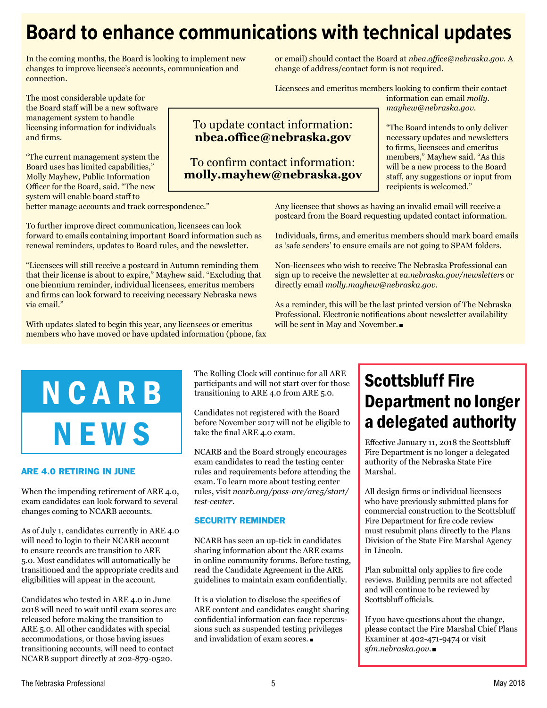## **Board to enhance communications with technical updates**

In the coming months, the Board is looking to implement new changes to improve licensee's accounts, communication and connection.

The most considerable update for the Board staff will be a new software management system to handle licensing information for individuals and firms.

"The current management system the Board uses has limited capabilities," Molly Mayhew, Public Information Officer for the Board, said. "The new system will enable board staff to

better manage accounts and track correspondence."

To further improve direct communication, licensees can look forward to emails containing important Board information such as renewal reminders, updates to Board rules, and the newsletter.

"Licensees will still receive a postcard in Autumn reminding them that their license is about to expire," Mayhew said. "Excluding that one biennium reminder, individual licensees, emeritus members and firms can look forward to receiving necessary Nebraska news via email."

With updates slated to begin this year, any licensees or emeritus members who have moved or have updated information (phone, fax

or email) should contact the Board at *nbea.office@nebraska.gov.* A change of address/contact form is not required.

Licensees and emeritus members looking to confirm their contact information can email *molly. mayhew@nebraska.gov*.

### To update contact information: **nbea.office@nebraska.gov**

To confirm contact information: **molly.mayhew@nebraska.gov** "The Board intends to only deliver necessary updates and newsletters to firms, licensees and emeritus members," Mayhew said. "As this will be a new process to the Board staff, any suggestions or input from recipients is welcomed."

Any licensee that shows as having an invalid email will receive a postcard from the Board requesting updated contact information.

Individuals, firms, and emeritus members should mark board emails as 'safe senders' to ensure emails are not going to SPAM folders.

Non-licensees who wish to receive The Nebraska Professional can sign up to receive the newsletter at *ea.nebraska.gov/newsletters* or directly email *molly.mayhew@nebraska.gov*.

As a reminder, this will be the last printed version of The Nebraska Professional. Electronic notifications about newsletter availability will be sent in May and November.

## NCARB **NEWS**

#### ARE 4.0 RETIRING IN JUNE

When the impending retirement of ARE 4.0, exam candidates can look forward to several changes coming to NCARB accounts.

As of July 1, candidates currently in ARE 4.0 will need to login to their NCARB account to ensure records are transition to ARE 5.0. Most candidates will automatically be transitioned and the appropriate credits and eligibilities will appear in the account.

Candidates who tested in ARE 4.0 in June 2018 will need to wait until exam scores are released before making the transition to ARE 5.0. All other candidates with special accommodations, or those having issues transitioning accounts, will need to contact NCARB support directly at 202-879-0520.

The Rolling Clock will continue for all ARE participants and will not start over for those transitioning to ARE 4.0 from ARE 5.0.

Candidates not registered with the Board before November 2017 will not be eligible to take the final ARE 4.0 exam.

NCARB and the Board strongly encourages exam candidates to read the testing center rules and requirements before attending the exam. To learn more about testing center rules, visit *ncarb.org/pass-are/are5/start/ test-center.* 

#### SECURITY REMINDER

NCARB has seen an up-tick in candidates sharing information about the ARE exams in online community forums. Before testing, read the Candidate Agreement in the ARE guidelines to maintain exam confidentially.

It is a violation to disclose the specifics of ARE content and candidates caught sharing confidential information can face repercussions such as suspended testing privileges and invalidation of exam scores.

## Scottsbluff Fire Department no longer a delegated authority

Effective January 11, 2018 the Scottsbluff Fire Department is no longer a delegated authority of the Nebraska State Fire Marshal.

All design firms or individual licensees who have previously submitted plans for commercial construction to the Scottsbluff Fire Department for fire code review must resubmit plans directly to the Plans Division of the State Fire Marshal Agency in Lincoln.

Plan submittal only applies to fire code reviews. Building permits are not affected and will continue to be reviewed by Scottsbluff officials.

If you have questions about the change, please contact the Fire Marshal Chief Plans Examiner at 402-471-9474 or visit *sfm.nebraska.gov.*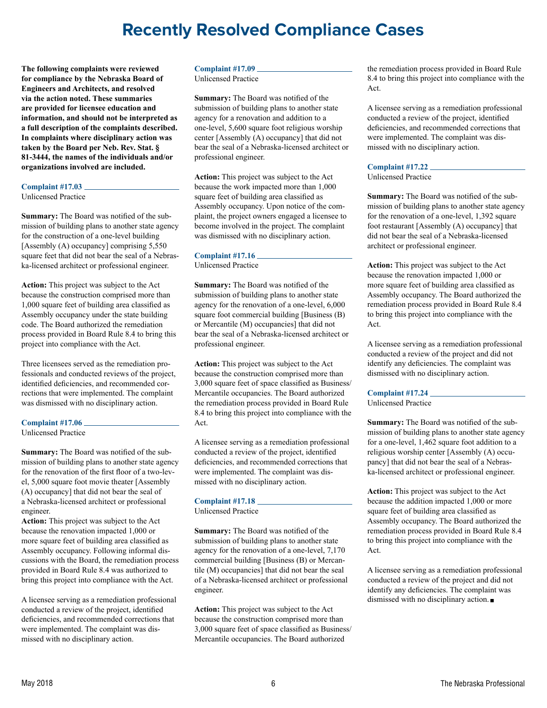### **Recently Resolved Compliance Cases**

**The following complaints were reviewed for compliance by the Nebraska Board of Engineers and Architects, and resolved via the action noted. These summaries are provided for licensee education and information, and should not be interpreted as a full description of the complaints described. In complaints where disciplinary action was taken by the Board per Neb. Rev. Stat. § 81-3444, the names of the individuals and/or organizations involved are included.**

#### **Complaint #17.03**

Unlicensed Practice

**Summary:** The Board was notified of the submission of building plans to another state agency for the construction of a one-level building [Assembly (A) occupancy] comprising 5,550 square feet that did not bear the seal of a Nebraska-licensed architect or professional engineer.

**Action:** This project was subject to the Act because the construction comprised more than 1,000 square feet of building area classified as Assembly occupancy under the state building code. The Board authorized the remediation process provided in Board Rule 8.4 to bring this project into compliance with the Act.

Three licensees served as the remediation professionals and conducted reviews of the project, identified deficiencies, and recommended corrections that were implemented. The complaint was dismissed with no disciplinary action.

#### **Complaint #17.06**

Unlicensed Practice

**Summary:** The Board was notified of the submission of building plans to another state agency for the renovation of the first floor of a two-level, 5,000 square foot movie theater [Assembly (A) occupancy] that did not bear the seal of a Nebraska-licensed architect or professional engineer.

**Action:** This project was subject to the Act because the renovation impacted 1,000 or more square feet of building area classified as Assembly occupancy. Following informal discussions with the Board, the remediation process provided in Board Rule 8.4 was authorized to bring this project into compliance with the Act.

A licensee serving as a remediation professional conducted a review of the project, identified deficiencies, and recommended corrections that were implemented. The complaint was dismissed with no disciplinary action.

#### **Complaint #17.09**

Unlicensed Practice

**Summary:** The Board was notified of the submission of building plans to another state agency for a renovation and addition to a one-level, 5,600 square foot religious worship center [Assembly (A) occupancy] that did not bear the seal of a Nebraska-licensed architect or professional engineer.

**Action:** This project was subject to the Act because the work impacted more than 1,000 square feet of building area classified as Assembly occupancy. Upon notice of the complaint, the project owners engaged a licensee to become involved in the project. The complaint was dismissed with no disciplinary action.

#### **Complaint #17.16**

Unlicensed Practice

**Summary:** The Board was notified of the submission of building plans to another state agency for the renovation of a one-level, 6,000 square foot commercial building [Business (B) or Mercantile (M) occupancies] that did not bear the seal of a Nebraska-licensed architect or professional engineer.

**Action:** This project was subject to the Act because the construction comprised more than 3,000 square feet of space classified as Business/ Mercantile occupancies. The Board authorized the remediation process provided in Board Rule 8.4 to bring this project into compliance with the Act.

A licensee serving as a remediation professional conducted a review of the project, identified deficiencies, and recommended corrections that were implemented. The complaint was dismissed with no disciplinary action.

#### **Complaint #17.18**

Unlicensed Practice

**Summary:** The Board was notified of the submission of building plans to another state agency for the renovation of a one-level, 7,170 commercial building [Business (B) or Mercantile (M) occupancies] that did not bear the seal of a Nebraska-licensed architect or professional engineer.

**Action:** This project was subject to the Act because the construction comprised more than 3,000 square feet of space classified as Business/ Mercantile occupancies. The Board authorized

the remediation process provided in Board Rule 8.4 to bring this project into compliance with the Act.

A licensee serving as a remediation professional conducted a review of the project, identified deficiencies, and recommended corrections that were implemented. The complaint was dismissed with no disciplinary action.

#### **Complaint #17.22**

Unlicensed Practice

**Summary:** The Board was notified of the submission of building plans to another state agency for the renovation of a one-level, 1,392 square foot restaurant [Assembly (A) occupancy] that did not bear the seal of a Nebraska-licensed architect or professional engineer.

**Action:** This project was subject to the Act because the renovation impacted 1,000 or more square feet of building area classified as Assembly occupancy. The Board authorized the remediation process provided in Board Rule 8.4 to bring this project into compliance with the Act.

A licensee serving as a remediation professional conducted a review of the project and did not identify any deficiencies. The complaint was dismissed with no disciplinary action.

#### **Complaint #17.24**

Unlicensed Practice

**Summary:** The Board was notified of the submission of building plans to another state agency for a one-level, 1,462 square foot addition to a religious worship center [Assembly (A) occupancy] that did not bear the seal of a Nebraska-licensed architect or professional engineer.

**Action:** This project was subject to the Act because the addition impacted 1,000 or more square feet of building area classified as Assembly occupancy. The Board authorized the remediation process provided in Board Rule 8.4 to bring this project into compliance with the Act.

A licensee serving as a remediation professional conducted a review of the project and did not identify any deficiencies. The complaint was dismissed with no disciplinary action.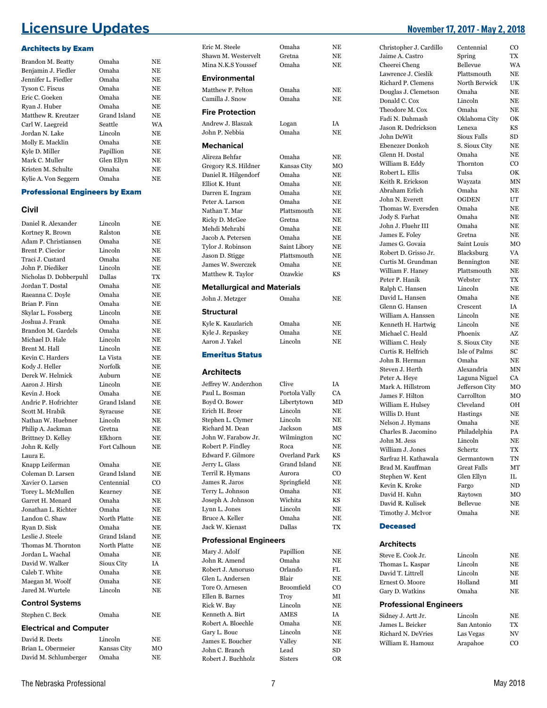### **Licensure Updates November 17, 2017 - May 2, 2018**

#### Architects by Exam

| Brandon M. Beatty      | Omaha        | NE. |
|------------------------|--------------|-----|
| Benjamin J. Fiedler    | Omaha        | NE  |
| Jennifer L. Fiedler    | Omaha        | NE  |
| <b>Tyson C. Fiscus</b> | Omaha        | NE  |
| Eric C. Goeken         | Omaha        | NE  |
| Ryan J. Huber          | Omaha        | NE  |
| Matthew R. Kreutzer    | Grand Island | NE  |
| Carl W. Laegreid       | Seattle      | WA  |
| Jordan N. Lake         | Lincoln      | NE  |
| Molly E. Macklin       | Omaha        | NE. |
| Kyle D. Miller         | Papillion    | NE  |
| Mark C. Muller         | Glen Ellyn   | NE  |
| Kristen M. Schulte     | Omaha        | NE  |
| Kylie A. Von Seggern   | Omaha        | NE. |

#### Professional Engineers by Exam

#### **Civil**

| Daniel R. Alexander            | Lincoln      | ΝE          |
|--------------------------------|--------------|-------------|
| Kortney R. Brown               | Ralston      | NΕ          |
| Adam P. Christiansen           | Omaha        | <b>NE</b>   |
| <b>Brent P. Ciecior</b>        | Lincoln      | NΕ          |
| Traci J. Custard               | Omaha        | <b>NE</b>   |
| John P. Diediker               | Lincoln      | <b>NE</b>   |
| Nicholas D. Dobberpuhl         | Dallas       | TX          |
| Jordan T. Dostal               | Omaha        | <b>NE</b>   |
| Raeanna C. Doyle               | Omaha        | <b>NE</b>   |
| Brian P. Finn                  | Omaha        | <b>NE</b>   |
| Skylar L. Fossberg             | Lincoln      | NE          |
| Joshua J. Frank                | Omaha        | <b>NE</b>   |
| Brandon M. Gardels             | Omaha        | NE          |
| Michael D. Hale                | Lincoln      | $_{\rm NE}$ |
| Brent M. Hall                  | Lincoln      | NE          |
| Kevin C. Harders               | La Vista     | <b>NE</b>   |
| Kody J. Heller                 | Norfolk      | NE          |
| Derek W. Helmick               | Auburn       | <b>NE</b>   |
| Aaron J. Hirsh                 | Lincoln      | NE          |
| Kevin J. Hock                  | Omaha        | ΝE          |
| Andric P. Hofrichter           | Grand Island | ΝE          |
| Scott M. Hrabik                | Syracuse     | <b>NE</b>   |
| Nathan W. Huebner              | Lincoln      | NE          |
| Philip A. Jackman              | Gretna       | <b>NE</b>   |
| Brittney D. Kelley             | Elkhorn      | <b>NE</b>   |
| John R. Kelly                  | Fort Calhoun | <b>NE</b>   |
| Laura E.                       |              |             |
| Knapp Leiferman                | Omaha        | NE          |
| Coleman D. Larsen              | Grand Island | <b>NE</b>   |
| Xavier O. Larsen               | Centennial   | $_{\rm CO}$ |
| Torey L. McMullen              | Kearney      | <b>NE</b>   |
| Garret H. Menard               | Omaha        | NE          |
| Jonathan L. Richter            | Omaha        | <b>NE</b>   |
| Landon C. Shaw                 | North Platte | <b>NE</b>   |
| Ryan D. Sisk                   | Omaha        | NE          |
| Leslie J. Steele               | Grand Island | NE          |
| Thomas M. Thornton             | North Platte | NE          |
| Jordan L. Wachal               | Omaha        | ΝE          |
| David W. Walker                | Sioux City   | IA          |
| Caleb T. White                 | Omaha        | <b>NE</b>   |
| Maegan M. Woolf                | Omaha        | NE          |
| Jared M. Wurtele               | Lincoln      | ΝE          |
| <b>Control Systems</b>         |              |             |
| Stephen C. Beck                | Omaha        | NΕ          |
| <b>Electrical and Computer</b> |              |             |
| David R. Deets                 | Lincoln      | NE          |
| Brian L. Obermeier             | Kansas City  | MO          |
| David M. Schlumberger          | Omaha        | NE          |

| Mina N.K.S Youssef                 | Omaha                  | NΕ        |
|------------------------------------|------------------------|-----------|
| Environmental                      |                        |           |
| Matthew P. Pelton                  | Omaha                  | NE        |
| Camilla J. Snow                    | Omaha                  | NE        |
| <b>Fire Protection</b>             |                        |           |
| Andrew J. Blaszak                  | Logan                  | IA        |
| John P. Nebbia                     | Omaha                  | NE        |
| <b>Mechanical</b>                  |                        |           |
| Alireza Behfar                     | Omaha                  | NE        |
| Gregory R.S. Hildner               | Kansas City            | мо        |
| Daniel R. Hilgendorf               | Omaha                  | NE        |
| Elliot K. Hunt                     | Omaha                  | NE        |
| Darren E. Ingram                   | Omaha                  | NE        |
| Peter A. Larson                    | Omaha                  | NE        |
| Nathan T. Mar                      | Plattsmouth            | NE        |
| Ricky D. McGee                     | Gretna                 | NE        |
| Mehdi Mehrabi                      | Omaha                  | NE        |
| Jacob A. Petersen                  | Omaha                  | NE        |
| Tylor J. Robinson                  | Saint Libory           | NE        |
| Jason D. Stigge                    | Plattsmouth            | <b>NE</b> |
| James W. Swerczek                  | Omaha                  | NE        |
| Matthew R. Taylor                  | Ozawkie                | KS        |
| <b>Metallurgical and Materials</b> |                        |           |
| John J. Metzger                    | Omaha                  | NE        |
| Structural                         |                        |           |
| Kyle K. Kauzlarich                 | Omaha                  | NE        |
| Kyle J. Repaskey                   | Omaha                  | NE        |
| Aaron J. Yakel                     | Lincoln                | NE        |
| <b>Emeritus Status</b>             |                        |           |
| <b>Architects</b>                  |                        |           |
| Jeffrey W. Anderzhon               | Clive                  | IA        |
| Paul L. Bosman                     | Portola Vally          | CA        |
| Boyd O. Bower                      | Libertytown            | MD        |
| Erich H. Broer                     | Lincoln                | NE        |
| Stephen L. Clymer                  | Lincoln                | NE        |
| Richard M. Dean                    | Jackson                | MS        |
| John W. Farabow Jr.                | Wilmington             | NC        |
| Robert P. Findley                  | Roca                   | NΕ        |
| Edward F. Gilmore                  | <b>Overland Park</b>   | KS        |
| Jerry L. Glass                     | Grand Island<br>Aurora | NE        |
| Terril R. Hymans<br>James R. Jaros | Springfield            | CO<br>NΕ  |
| Terry L. Johnson                   | Omaha                  | NE        |
| Joseph A. Johnson                  | Wichita                | KS        |
| Lynn L. Jones                      | Lincoln                | NE        |
| Bruce A. Keller                    | Omaha                  | ΝE        |
| Jack W. Kienast                    | Dallas                 | TX        |
| <b>Professional Engineers</b>      |                        |           |
| Mary J. Adolf                      | Papillion              | NΕ        |
| John R. Amend                      | Omaha                  | NE        |
| Robert J. Amoruso                  | Orlando                | FL        |
| Glen L. Andersen                   | Blair                  | NE        |
| Tore O. Arnesen                    | <b>Broomfield</b>      | CO        |
| Ellen B. Barnes                    | Troy                   | МI        |
| Rick W. Bay                        | Lincoln                | NE        |
| Kenneth A. Birt                    | <b>AMES</b>            | ΙA        |
| Robert A. Bloechle                 | Omaha                  | NE        |
| Gary L. Bouc                       | Lincoln                | NΕ        |
| James E. Boucher                   | Valley                 | NΕ        |
| John C. Branch                     | Lead                   | SD        |
| Robert J. Buchholz                 | <b>Sisters</b>         | OR        |

Eric M. Steele Omaha NE Shawn M. Westervelt Gretna NE

| Christopher J. Cardillo              | Centennial         | CO             |
|--------------------------------------|--------------------|----------------|
| Jaime A. Castro                      | Spring             | TX             |
| Cheerei Cheng                        | Bellevue           | WA             |
| Lawrence J. Cieslik                  | Plattsmouth        | NE             |
| <b>Richard P. Clemens</b>            | North Berwick      | UK             |
| Douglas J. Clemetson                 | Omaha              | NE             |
| Donald C. Cox                        | Lincoln            | NE             |
| Theodore M. Cox                      | Omaha              | <b>NE</b>      |
| Fadi N. Dahmash                      | Oklahoma City      | OK             |
| Jason R. Dedrickson                  | Lenexa             | <b>KS</b>      |
| John DeWit                           | Sioux Falls        | <b>SD</b>      |
| Ebenezer Donkoh                      | S. Sioux City      | <b>NE</b>      |
| Glenn H. Dostal                      | Omaha              | NE             |
| William B. Eddy                      | Thornton           | CO             |
| Robert L. Ellis                      | Tulsa              | OK             |
| Keith R. Erickson                    | Wayzata            | MΝ             |
| Abraham Erlich                       | Omaha              | NE             |
| John N. Everett                      | <b>OGDEN</b>       | UT             |
| Thomas W. Eversden                   | Omaha              | NE             |
| Jody S. Farhat<br>John J. Fluehr III | Omaha<br>Omaha     | NE<br>NE       |
| James E. Foley                       | Gretna             | NE             |
| James G. Govaia                      | Saint Louis        |                |
| Robert D. Grisso Jr.                 | Blacksburg         | MO<br>VA       |
| Curtis M. Grundman                   | Bennington         | NE             |
| William F. Haney                     | Plattsmouth        | NE             |
| Peter P. Hanik                       | Webster            | TX             |
| Ralph C. Hansen                      | Lincoln            | NE             |
| David L. Hansen                      | Omaha              | <b>NE</b>      |
| Glenn G. Hansen                      | Crescent           | IA             |
| William A. Hanssen                   | Lincoln            | NE             |
| Kenneth H. Hartwig                   | Lincoln            | <b>NE</b>      |
| Michael C. Heald                     | Phoenix            | AZ             |
| William C. Healy                     | S. Sioux City      | NE             |
| Curtis R. Helfrich                   | Isle of Palms      | SC             |
| John B. Herman                       | Omaha              | NΕ             |
|                                      |                    |                |
| Steven J. Herth                      | Alexandria         | MΝ             |
| Peter A. Heve                        | Laguna Niguel      | CA             |
| Mark A. Hillstrom                    | Jefferson City     | MО             |
| James F. Hilton                      | Carrollton         | MO             |
| William E. Hulsey                    | Cleveland          | OН             |
| Willis D. Hunt                       | Hastings           | NE             |
| Nelson J. Hymans                     | Omaha              | NΕ             |
| Charles B. Jacomino                  | Philadelphia       | PA             |
| John M. Jess                         | Lincoln            | NE             |
| William J. Jones                     | Schertz            | TX             |
| Sarfraz H. Kathawala                 | Germantown         | TN             |
| Brad M. Kauffman                     | <b>Great Falls</b> | МT             |
| Stephen W. Kent                      | Glen Ellyn         | IL             |
| Kevin K. Kroke                       | Fargo              | ND             |
| David H. Kuhn                        | Raytown            | MO             |
| David R. Kulisek                     | Bellevue           | NΕ             |
| Timothy J. McIvor                    | Omaha              | N <sub>E</sub> |
| <b>Deceased</b>                      |                    |                |
| <b>Architects</b>                    |                    |                |
| Steve E. Cook Jr.                    | Lincoln            | NΕ             |
| Thomas L. Kaspar                     | Lincoln            | ΝE             |
| David T. Littrell                    | Lincoln            | ΝE             |
| Ernest O. Moore                      | Holland            | MI             |
| Gary D. Watkins                      | Omaha              | ΝE             |
| <b>Professional Engineers</b>        |                    |                |
| Sidney J. Artt Jr.                   | Lincoln            | NE             |
| James L. Beicker                     | San Antonio        | TX             |
| Richard N. DeVries                   | Las Vegas          | NV             |